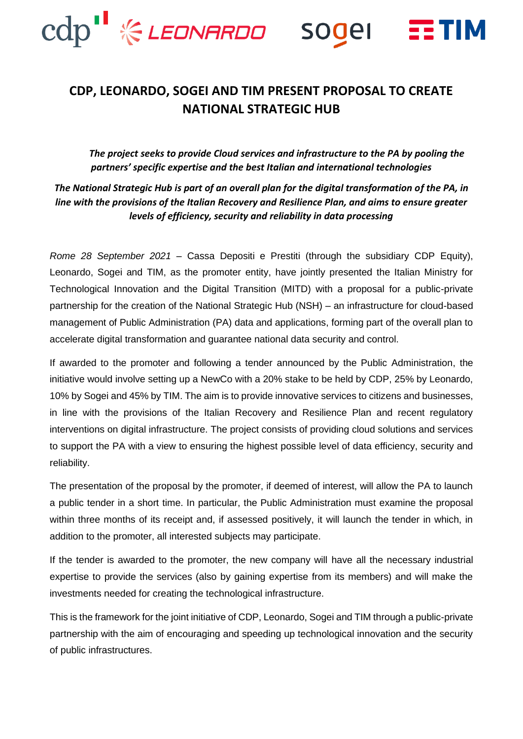

## **CDP, LEONARDO, SOGEI AND TIM PRESENT PROPOSAL TO CREATE NATIONAL STRATEGIC HUB**

*The project seeks to provide Cloud services and infrastructure to the PA by pooling the partners' specific expertise and the best Italian and international technologies* 

*The National Strategic Hub is part of an overall plan for the digital transformation of the PA, in line with the provisions of the Italian Recovery and Resilience Plan, and aims to ensure greater levels of efficiency, security and reliability in data processing*

*Rome 28 September 2021* – Cassa Depositi e Prestiti (through the subsidiary CDP Equity), Leonardo, Sogei and TIM, as the promoter entity, have jointly presented the Italian Ministry for Technological Innovation and the Digital Transition (MITD) with a proposal for a public-private partnership for the creation of the National Strategic Hub (NSH) – an infrastructure for cloud-based management of Public Administration (PA) data and applications, forming part of the overall plan to accelerate digital transformation and guarantee national data security and control.

If awarded to the promoter and following a tender announced by the Public Administration, the initiative would involve setting up a NewCo with a 20% stake to be held by CDP, 25% by Leonardo, 10% by Sogei and 45% by TIM. The aim is to provide innovative services to citizens and businesses, in line with the provisions of the Italian Recovery and Resilience Plan and recent regulatory interventions on digital infrastructure. The project consists of providing cloud solutions and services to support the PA with a view to ensuring the highest possible level of data efficiency, security and reliability.

The presentation of the proposal by the promoter, if deemed of interest, will allow the PA to launch a public tender in a short time. In particular, the Public Administration must examine the proposal within three months of its receipt and, if assessed positively, it will launch the tender in which, in addition to the promoter, all interested subjects may participate.

If the tender is awarded to the promoter, the new company will have all the necessary industrial expertise to provide the services (also by gaining expertise from its members) and will make the investments needed for creating the technological infrastructure.

This is the framework for the joint initiative of CDP, Leonardo, Sogei and TIM through a public-private partnership with the aim of encouraging and speeding up technological innovation and the security of public infrastructures.